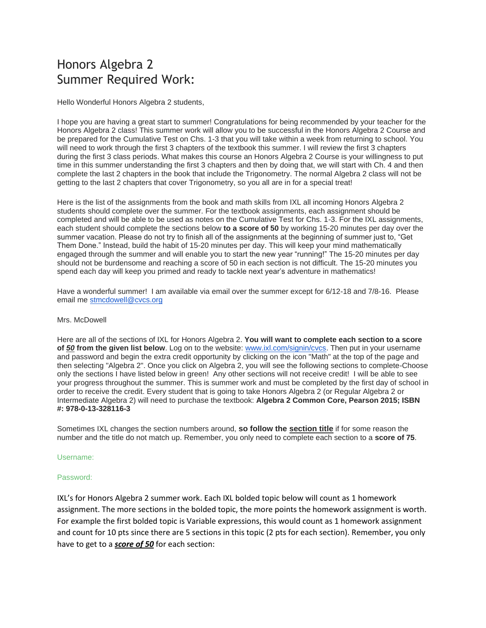# Honors Algebra 2 Summer Required Work:

Hello Wonderful Honors Algebra 2 students,

I hope you are having a great start to summer! Congratulations for being recommended by your teacher for the Honors Algebra 2 class! This summer work will allow you to be successful in the Honors Algebra 2 Course and be prepared for the Cumulative Test on Chs. 1-3 that you will take within a week from returning to school. You will need to work through the first 3 chapters of the textbook this summer. I will review the first 3 chapters during the first 3 class periods. What makes this course an Honors Algebra 2 Course is your willingness to put time in this summer understanding the first 3 chapters and then by doing that, we will start with Ch. 4 and then complete the last 2 chapters in the book that include the Trigonometry. The normal Algebra 2 class will not be getting to the last 2 chapters that cover Trigonometry, so you all are in for a special treat!

Here is the list of the assignments from the book and math skills from IXL all incoming Honors Algebra 2 students should complete over the summer. For the textbook assignments, each assignment should be completed and will be able to be used as notes on the Cumulative Test for Chs. 1-3. For the IXL assignments, each student should complete the sections below **to a score of 50** by working 15-20 minutes per day over the summer vacation. Please do not try to finish all of the assignments at the beginning of summer just to, "Get Them Done." Instead, build the habit of 15-20 minutes per day. This will keep your mind mathematically engaged through the summer and will enable you to start the new year "running!" The 15-20 minutes per day should not be burdensome and reaching a score of 50 in each section is not difficult. The 15-20 minutes you spend each day will keep you primed and ready to tackle next year's adventure in mathematics!

Have a wonderful summer! I am available via email over the summer except for 6/12-18 and 7/8-16. Please email me [stmcdowell@cvcs.org](mailto:stmcdowell@cvcs.org)

#### Mrs. McDowell

Here are all of the sections of IXL for Honors Algebra 2. **You will want to complete each section to a score of** *50* **from the given list below**. Log on to the website: [www.ixl.com/signin/cvcs.](http://www.ixl.com/signin/cvcs) Then put in your username and password and begin the extra credit opportunity by clicking on the icon "Math" at the top of the page and then selecting "Algebra 2". Once you click on Algebra 2, you will see the following sections to complete-Choose only the sections I have listed below in green! Any other sections will not receive credit! I will be able to see your progress throughout the summer. This is summer work and must be completed by the first day of school in order to receive the credit. Every student that is going to take Honors Algebra 2 (or Regular Algebra 2 or Intermediate Algebra 2) will need to purchase the textbook: **Algebra 2 Common Core, Pearson 2015; ISBN #: 978-0-13-328116-3**

Sometimes IXL changes the section numbers around, **so follow the section title** if for some reason the number and the title do not match up. Remember, you only need to complete each section to a **score of 75**.

#### Username:

#### Password:

IXL's for Honors Algebra 2 summer work. Each IXL bolded topic below will count as 1 homework assignment. The more sections in the bolded topic, the more points the homework assignment is worth. For example the first bolded topic is Variable expressions, this would count as 1 homework assignment and count for 10 pts since there are 5 sections in this topic (2 pts for each section). Remember, you only have to get to a *score of 50* for each section: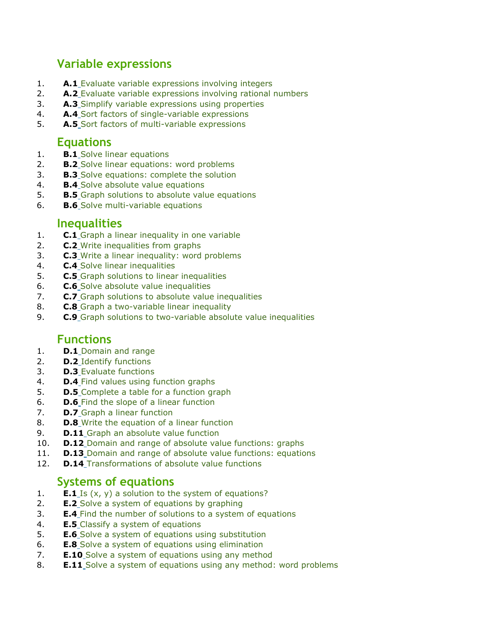## **Variable expressions**

- 1. **A.1** [Evaluate variable expressions involving integers](https://www.ixl.com/math/algebra-2/evaluate-variable-expressions-involving-integers)
- 2. **A.2** [Evaluate variable expressions involving rational numbers](https://www.ixl.com/math/algebra-2/evaluate-variable-expressions-involving-rational-numbers)
- 3. **A.3** [Simplify variable expressions using properties](https://www.ixl.com/math/algebra-2/simplify-variable-expressions-using-properties)
- 4. **A.4** [Sort factors of single-variable expressions](https://www.ixl.com/math/algebra-2/sort-factors-of-single-variable-expressions)
- 5. **A.5** [Sort factors of multi-variable expressions](https://www.ixl.com/math/algebra-2/sort-factors-of-multi-variable-expressions)

### **Equations**

- 1. **B.1** [Solve linear equations](https://www.ixl.com/math/algebra-2/solve-linear-equations)
- 2. **B.2** [Solve linear equations: word problems](https://www.ixl.com/math/algebra-2/solve-linear-equations-word-problems)
- 3. **B.3** [Solve equations: complete the solution](https://www.ixl.com/math/algebra-2/solve-equations-complete-the-solution)
- 4. **B.4** [Solve absolute value equations](https://www.ixl.com/math/algebra-2/solve-absolute-value-equations)
- 5. **B.5** [Graph solutions to absolute value equations](https://www.ixl.com/math/algebra-2/graph-solutions-to-absolute-value-equations)
- 6. **B.6** [Solve multi-variable equations](https://www.ixl.com/math/algebra-2/solve-multi-variable-equations)

#### **Inequalities**

- 1. **C.1** [Graph a linear inequality in one variable](https://www.ixl.com/math/algebra-2/graph-a-linear-inequality-in-one-variable)
- 2. **C.2** [Write inequalities from graphs](https://www.ixl.com/math/algebra-2/write-inequalities-from-graphs)
- 3. **C.3** [Write a linear inequality: word problems](https://www.ixl.com/math/algebra-2/write-a-linear-inequality-word-problems)
- 4. **C.4** [Solve linear inequalities](https://www.ixl.com/math/algebra-2/solve-linear-inequalities)
- 5. **C.5** [Graph solutions to linear inequalities](https://www.ixl.com/math/algebra-2/graph-solutions-to-linear-inequalities)
- 6. **C.6** [Solve absolute value inequalities](https://www.ixl.com/math/algebra-2/solve-absolute-value-inequalities)
- 7. **C.7** [Graph solutions to absolute value inequalities](https://www.ixl.com/math/algebra-2/graph-solutions-to-absolute-value-inequalities)
- 8. **C.8** [Graph a two-variable linear inequality](https://www.ixl.com/math/algebra-2/graph-a-two-variable-linear-inequality)
- 9. **C.9** [Graph solutions to two-variable absolute value inequalities](https://www.ixl.com/math/algebra-2/graph-solutions-to-two-variable-absolute-value-inequalities)

### **Functions**

- 1. **D.1** [Domain and range](https://www.ixl.com/math/algebra-2/domain-and-range)
- 2. **D.2** [Identify functions](https://www.ixl.com/math/algebra-2/identify-functions)
- 3. **D.3** [Evaluate functions](https://www.ixl.com/math/algebra-2/evaluate-functions)
- 4. **D.4** [Find values using function graphs](https://www.ixl.com/math/algebra-2/find-values-using-function-graphs)
- 5. **D.5** [Complete a table for a function graph](https://www.ixl.com/math/algebra-2/complete-a-table-for-a-function-graph)
- 6. **D.6** [Find the slope of a linear function](https://www.ixl.com/math/algebra-2/find-the-slope-of-a-linear-function)
- 7. **D.7** [Graph a linear function](https://www.ixl.com/math/algebra-2/graph-a-linear-function)
- 8. **D.8** [Write the equation of a linear function](https://www.ixl.com/math/algebra-2/write-the-equation-of-a-linear-function)
- 9. **D.11** [Graph an absolute value function](https://www.ixl.com/math/algebra-2/graph-an-absolute-value-function)
- 10. **D.12** [Domain and range of absolute value functions: graphs](https://www.ixl.com/math/algebra-2/domain-and-range-of-absolute-value-functions-graphs)
- 11. **D.13** [Domain and range of absolute value functions: equations](https://www.ixl.com/math/algebra-2/domain-and-range-of-absolute-value-functions-equations)
- 12. **D.14** [Transformations of absolute value functions](https://www.ixl.com/math/algebra-2/transformations-of-absolute-value-functions)

### **Systems of equations**

- 1. **E.1** [Is \(x, y\) a solution to the system of equations?](https://www.ixl.com/math/algebra-2/is-x-y-a-solution-to-the-system-of-equations)
- 2. **E.2** [Solve a system of equations by graphing](https://www.ixl.com/math/algebra-2/solve-a-system-of-equations-by-graphing)
- 3. **E.4** [Find the number of solutions to a system of equations](https://www.ixl.com/math/algebra-2/find-the-number-of-solutions-to-a-system-of-equations)
- 4. **E.5** [Classify a system of equations](https://www.ixl.com/math/algebra-2/classify-a-system-of-equations)
- 5. **E.6** [Solve a system of equations using substitution](https://www.ixl.com/math/algebra-2/solve-a-system-of-equations-using-substitution)
- 6. **E.8** [Solve a system of equations using elimination](https://www.ixl.com/math/algebra-2/solve-a-system-of-equations-using-elimination)
- 7. **E.10** [Solve a system of equations using any method](https://www.ixl.com/math/algebra-2/solve-a-system-of-equations-using-any-method)
- 8. **E.11** [Solve a system of equations using any method: word problems](https://www.ixl.com/math/algebra-2/solve-a-system-of-equations-using-any-method-word-problems)